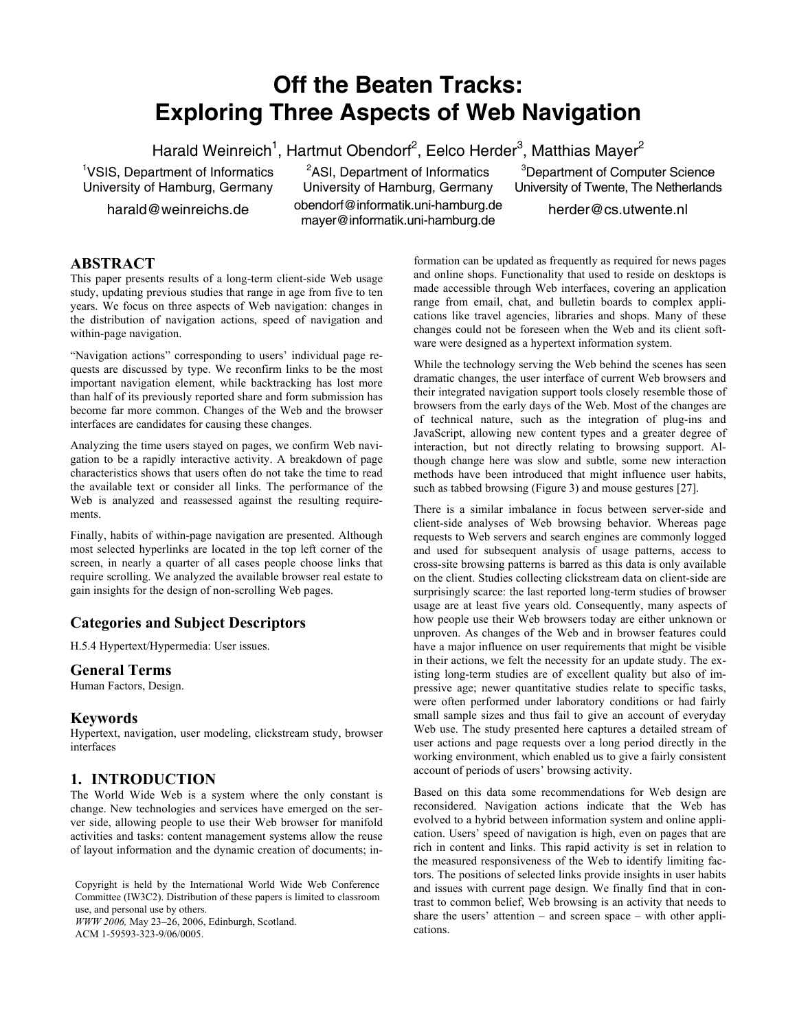# **Off the Beaten Tracks: Exploring Three Aspects of Web Navigation**

Harald Weinreich<sup>1</sup>, Hartmut Obendorf<sup>2</sup>, Eelco Herder<sup>3</sup>, Matthias Mayer<sup>2</sup>

<sup>1</sup>VSIS, Department of Informatics University of Hamburg, Germany

harald@weinreichs.de

<sup>2</sup>ASI, Department of Informatics University of Hamburg, Germany obendorf@informatik.uni-hamburg.de mayer@informatik.uni-hamburg.de

<sup>3</sup>Department of Computer Science University of Twente, The Netherlands

herder@cs.utwente.nl

# **ABSTRACT**

This paper presents results of a long-term client-side Web usage study, updating previous studies that range in age from five to ten years. We focus on three aspects of Web navigation: changes in the distribution of navigation actions, speed of navigation and within-page navigation.

"Navigation actions" corresponding to users' individual page requests are discussed by type. We reconfirm links to be the most important navigation element, while backtracking has lost more than half of its previously reported share and form submission has become far more common. Changes of the Web and the browser interfaces are candidates for causing these changes.

Analyzing the time users stayed on pages, we confirm Web navigation to be a rapidly interactive activity. A breakdown of page characteristics shows that users often do not take the time to read the available text or consider all links. The performance of the Web is analyzed and reassessed against the resulting requirements.

Finally, habits of within-page navigation are presented. Although most selected hyperlinks are located in the top left corner of the screen, in nearly a quarter of all cases people choose links that require scrolling. We analyzed the available browser real estate to gain insights for the design of non-scrolling Web pages.

# **Categories and Subject Descriptors**

H.5.4 Hypertext/Hypermedia: User issues.

## **General Terms**

Human Factors, Design.

## **Keywords**

Hypertext, navigation, user modeling, clickstream study, browser interfaces

# **1. INTRODUCTION**

The World Wide Web is a system where the only constant is change. New technologies and services have emerged on the server side, allowing people to use their Web browser for manifold activities and tasks: content management systems allow the reuse of layout information and the dynamic creation of documents; in-

Copyright is held by the International World Wide Web Conference Committee (IW3C2). Distribution of these papers is limited to classroom use, and personal use by others. *WWW 2006,* May 23–26, 2006, Edinburgh, Scotland. ACM 1-59593-323-9/06/0005.

formation can be updated as frequently as required for news pages and online shops. Functionality that used to reside on desktops is made accessible through Web interfaces, covering an application range from email, chat, and bulletin boards to complex applications like travel agencies, libraries and shops. Many of these changes could not be foreseen when the Web and its client software were designed as a hypertext information system.

While the technology serving the Web behind the scenes has seen dramatic changes, the user interface of current Web browsers and their integrated navigation support tools closely resemble those of browsers from the early days of the Web. Most of the changes are of technical nature, such as the integration of plug-ins and JavaScript, allowing new content types and a greater degree of interaction, but not directly relating to browsing support. Although change here was slow and subtle, some new interaction methods have been introduced that might influence user habits, such as tabbed browsing (Figure 3) and mouse gestures [27].

There is a similar imbalance in focus between server-side and client-side analyses of Web browsing behavior. Whereas page requests to Web servers and search engines are commonly logged and used for subsequent analysis of usage patterns, access to cross-site browsing patterns is barred as this data is only available on the client. Studies collecting clickstream data on client-side are surprisingly scarce: the last reported long-term studies of browser usage are at least five years old. Consequently, many aspects of how people use their Web browsers today are either unknown or unproven. As changes of the Web and in browser features could have a major influence on user requirements that might be visible in their actions, we felt the necessity for an update study. The existing long-term studies are of excellent quality but also of impressive age; newer quantitative studies relate to specific tasks, were often performed under laboratory conditions or had fairly small sample sizes and thus fail to give an account of everyday Web use. The study presented here captures a detailed stream of user actions and page requests over a long period directly in the working environment, which enabled us to give a fairly consistent account of periods of users' browsing activity.

Based on this data some recommendations for Web design are reconsidered. Navigation actions indicate that the Web has evolved to a hybrid between information system and online application. Users' speed of navigation is high, even on pages that are rich in content and links. This rapid activity is set in relation to the measured responsiveness of the Web to identify limiting factors. The positions of selected links provide insights in user habits and issues with current page design. We finally find that in contrast to common belief, Web browsing is an activity that needs to share the users' attention – and screen space – with other applications.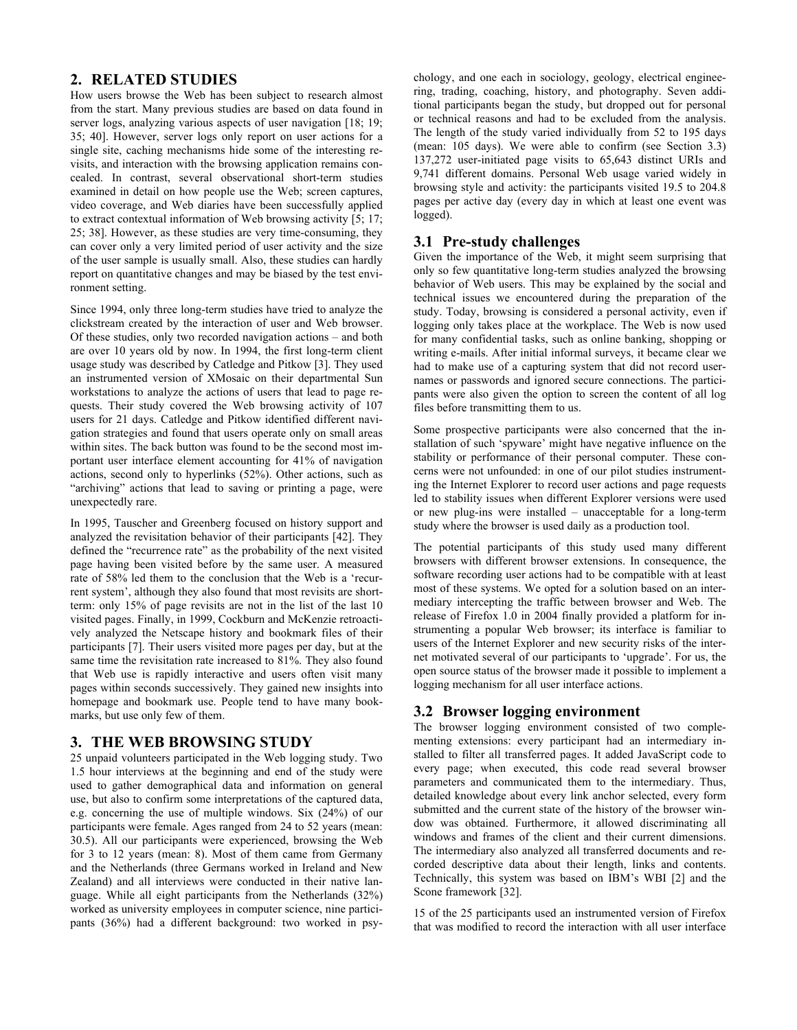# **2. RELATED STUDIES**

How users browse the Web has been subject to research almost from the start. Many previous studies are based on data found in server logs, analyzing various aspects of user navigation [18; 19; 35; 40]. However, server logs only report on user actions for a single site, caching mechanisms hide some of the interesting revisits, and interaction with the browsing application remains concealed. In contrast, several observational short-term studies examined in detail on how people use the Web; screen captures, video coverage, and Web diaries have been successfully applied to extract contextual information of Web browsing activity [5; 17; 25; 38]. However, as these studies are very time-consuming, they can cover only a very limited period of user activity and the size of the user sample is usually small. Also, these studies can hardly report on quantitative changes and may be biased by the test environment setting.

Since 1994, only three long-term studies have tried to analyze the clickstream created by the interaction of user and Web browser. Of these studies, only two recorded navigation actions – and both are over 10 years old by now. In 1994, the first long-term client usage study was described by Catledge and Pitkow [3]. They used an instrumented version of XMosaic on their departmental Sun workstations to analyze the actions of users that lead to page requests. Their study covered the Web browsing activity of 107 users for 21 days. Catledge and Pitkow identified different navigation strategies and found that users operate only on small areas within sites. The back button was found to be the second most important user interface element accounting for 41% of navigation actions, second only to hyperlinks (52%). Other actions, such as "archiving" actions that lead to saving or printing a page, were unexpectedly rare.

In 1995, Tauscher and Greenberg focused on history support and analyzed the revisitation behavior of their participants [42]. They defined the "recurrence rate" as the probability of the next visited page having been visited before by the same user. A measured rate of 58% led them to the conclusion that the Web is a 'recurrent system', although they also found that most revisits are shortterm: only 15% of page revisits are not in the list of the last 10 visited pages. Finally, in 1999, Cockburn and McKenzie retroactively analyzed the Netscape history and bookmark files of their participants [7]. Their users visited more pages per day, but at the same time the revisitation rate increased to 81%. They also found that Web use is rapidly interactive and users often visit many pages within seconds successively. They gained new insights into homepage and bookmark use. People tend to have many bookmarks, but use only few of them.

## **3. THE WEB BROWSING STUDY**

25 unpaid volunteers participated in the Web logging study. Two 1.5 hour interviews at the beginning and end of the study were used to gather demographical data and information on general use, but also to confirm some interpretations of the captured data, e.g. concerning the use of multiple windows. Six (24%) of our participants were female. Ages ranged from 24 to 52 years (mean: 30.5). All our participants were experienced, browsing the Web for 3 to 12 years (mean: 8). Most of them came from Germany and the Netherlands (three Germans worked in Ireland and New Zealand) and all interviews were conducted in their native language. While all eight participants from the Netherlands (32%) worked as university employees in computer science, nine participants (36%) had a different background: two worked in psychology, and one each in sociology, geology, electrical engineering, trading, coaching, history, and photography. Seven additional participants began the study, but dropped out for personal or technical reasons and had to be excluded from the analysis. The length of the study varied individually from 52 to 195 days (mean: 105 days). We were able to confirm (see Section 3.3) 137,272 user-initiated page visits to 65,643 distinct URIs and 9,741 different domains. Personal Web usage varied widely in browsing style and activity: the participants visited 19.5 to 204.8 pages per active day (every day in which at least one event was logged).

# **3.1 Pre-study challenges**

Given the importance of the Web, it might seem surprising that only so few quantitative long-term studies analyzed the browsing behavior of Web users. This may be explained by the social and technical issues we encountered during the preparation of the study. Today, browsing is considered a personal activity, even if logging only takes place at the workplace. The Web is now used for many confidential tasks, such as online banking, shopping or writing e-mails. After initial informal surveys, it became clear we had to make use of a capturing system that did not record usernames or passwords and ignored secure connections. The participants were also given the option to screen the content of all log files before transmitting them to us.

Some prospective participants were also concerned that the installation of such 'spyware' might have negative influence on the stability or performance of their personal computer. These concerns were not unfounded: in one of our pilot studies instrumenting the Internet Explorer to record user actions and page requests led to stability issues when different Explorer versions were used or new plug-ins were installed – unacceptable for a long-term study where the browser is used daily as a production tool.

The potential participants of this study used many different browsers with different browser extensions. In consequence, the software recording user actions had to be compatible with at least most of these systems. We opted for a solution based on an intermediary intercepting the traffic between browser and Web. The release of Firefox 1.0 in 2004 finally provided a platform for instrumenting a popular Web browser; its interface is familiar to users of the Internet Explorer and new security risks of the internet motivated several of our participants to 'upgrade'. For us, the open source status of the browser made it possible to implement a logging mechanism for all user interface actions.

# **3.2 Browser logging environment**

The browser logging environment consisted of two complementing extensions: every participant had an intermediary installed to filter all transferred pages. It added JavaScript code to every page; when executed, this code read several browser parameters and communicated them to the intermediary. Thus, detailed knowledge about every link anchor selected, every form submitted and the current state of the history of the browser window was obtained. Furthermore, it allowed discriminating all windows and frames of the client and their current dimensions. The intermediary also analyzed all transferred documents and recorded descriptive data about their length, links and contents. Technically, this system was based on IBM's WBI [2] and the Scone framework [32].

15 of the 25 participants used an instrumented version of Firefox that was modified to record the interaction with all user interface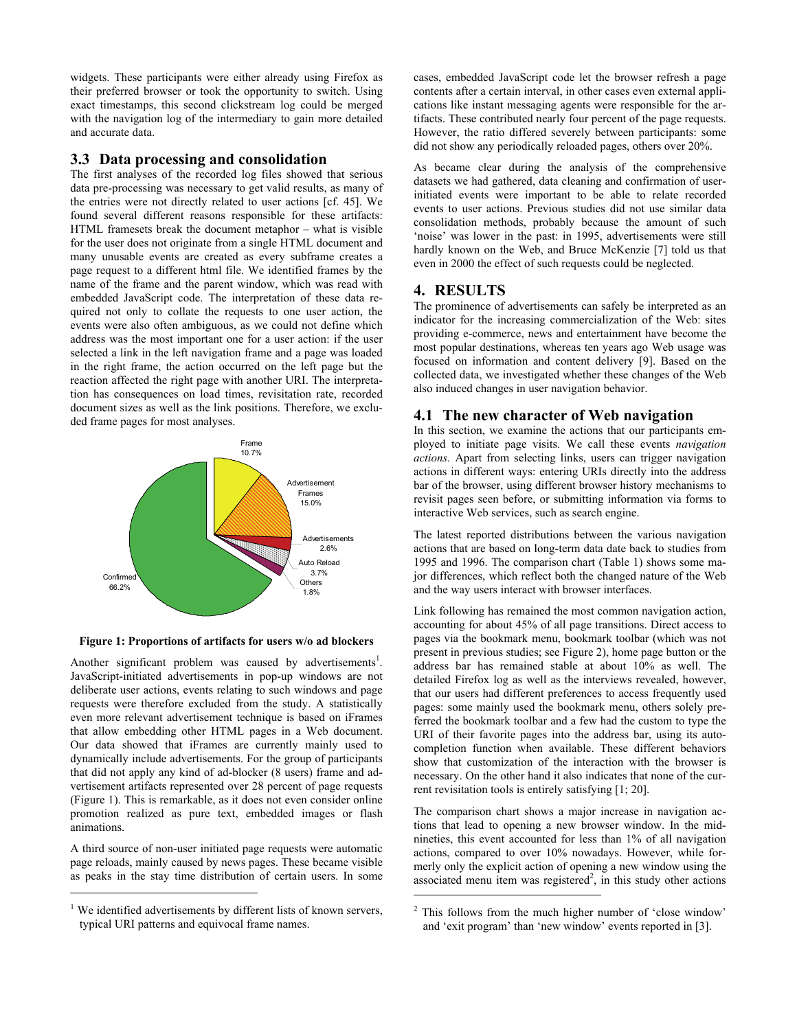widgets. These participants were either already using Firefox as their preferred browser or took the opportunity to switch. Using exact timestamps, this second clickstream log could be merged with the navigation log of the intermediary to gain more detailed and accurate data.

#### **3.3 Data processing and consolidation**

The first analyses of the recorded log files showed that serious data pre-processing was necessary to get valid results, as many of the entries were not directly related to user actions [cf. 45]. We found several different reasons responsible for these artifacts: HTML framesets break the document metaphor – what is visible for the user does not originate from a single HTML document and many unusable events are created as every subframe creates a page request to a different html file. We identified frames by the name of the frame and the parent window, which was read with embedded JavaScript code. The interpretation of these data required not only to collate the requests to one user action, the events were also often ambiguous, as we could not define which address was the most important one for a user action: if the user selected a link in the left navigation frame and a page was loaded in the right frame, the action occurred on the left page but the reaction affected the right page with another URI. The interpretation has consequences on load times, revisitation rate, recorded document sizes as well as the link positions. Therefore, we excluded frame pages for most analyses.



**Figure 1: Proportions of artifacts for users w/o ad blockers**

Another significant problem was caused by advertisements<sup>1</sup>. JavaScript-initiated advertisements in pop-up windows are not deliberate user actions, events relating to such windows and page requests were therefore excluded from the study. A statistically even more relevant advertisement technique is based on iFrames that allow embedding other HTML pages in a Web document. Our data showed that iFrames are currently mainly used to dynamically include advertisements. For the group of participants that did not apply any kind of ad-blocker (8 users) frame and advertisement artifacts represented over 28 percent of page requests (Figure 1). This is remarkable, as it does not even consider online promotion realized as pure text, embedded images or flash animations.

A third source of non-user initiated page requests were automatic page reloads, mainly caused by news pages. These became visible as peaks in the stay time distribution of certain users. In some

1

cases, embedded JavaScript code let the browser refresh a page contents after a certain interval, in other cases even external applications like instant messaging agents were responsible for the artifacts. These contributed nearly four percent of the page requests. However, the ratio differed severely between participants: some did not show any periodically reloaded pages, others over 20%.

As became clear during the analysis of the comprehensive datasets we had gathered, data cleaning and confirmation of userinitiated events were important to be able to relate recorded events to user actions. Previous studies did not use similar data consolidation methods, probably because the amount of such 'noise' was lower in the past: in 1995, advertisements were still hardly known on the Web, and Bruce McKenzie [7] told us that even in 2000 the effect of such requests could be neglected.

## **4. RESULTS**

The prominence of advertisements can safely be interpreted as an indicator for the increasing commercialization of the Web: sites providing e-commerce, news and entertainment have become the most popular destinations, whereas ten years ago Web usage was focused on information and content delivery [9]. Based on the collected data, we investigated whether these changes of the Web also induced changes in user navigation behavior.

#### **4.1 The new character of Web navigation**

In this section, we examine the actions that our participants employed to initiate page visits. We call these events *navigation actions.* Apart from selecting links, users can trigger navigation actions in different ways: entering URIs directly into the address bar of the browser, using different browser history mechanisms to revisit pages seen before, or submitting information via forms to interactive Web services, such as search engine.

The latest reported distributions between the various navigation actions that are based on long-term data date back to studies from 1995 and 1996. The comparison chart (Table 1) shows some major differences, which reflect both the changed nature of the Web and the way users interact with browser interfaces.

Link following has remained the most common navigation action, accounting for about 45% of all page transitions. Direct access to pages via the bookmark menu, bookmark toolbar (which was not present in previous studies; see Figure 2), home page button or the address bar has remained stable at about 10% as well. The detailed Firefox log as well as the interviews revealed, however, that our users had different preferences to access frequently used pages: some mainly used the bookmark menu, others solely preferred the bookmark toolbar and a few had the custom to type the URI of their favorite pages into the address bar, using its autocompletion function when available. These different behaviors show that customization of the interaction with the browser is necessary. On the other hand it also indicates that none of the current revisitation tools is entirely satisfying [1; 20].

The comparison chart shows a major increase in navigation actions that lead to opening a new browser window. In the midnineties, this event accounted for less than 1% of all navigation actions, compared to over 10% nowadays. However, while formerly only the explicit action of opening a new window using the associated menu item was registered<sup>2</sup>, in this study other actions

1

<sup>1</sup> We identified advertisements by different lists of known servers, typical URI patterns and equivocal frame names.

<sup>&</sup>lt;sup>2</sup> This follows from the much higher number of 'close window' and 'exit program' than 'new window' events reported in [3].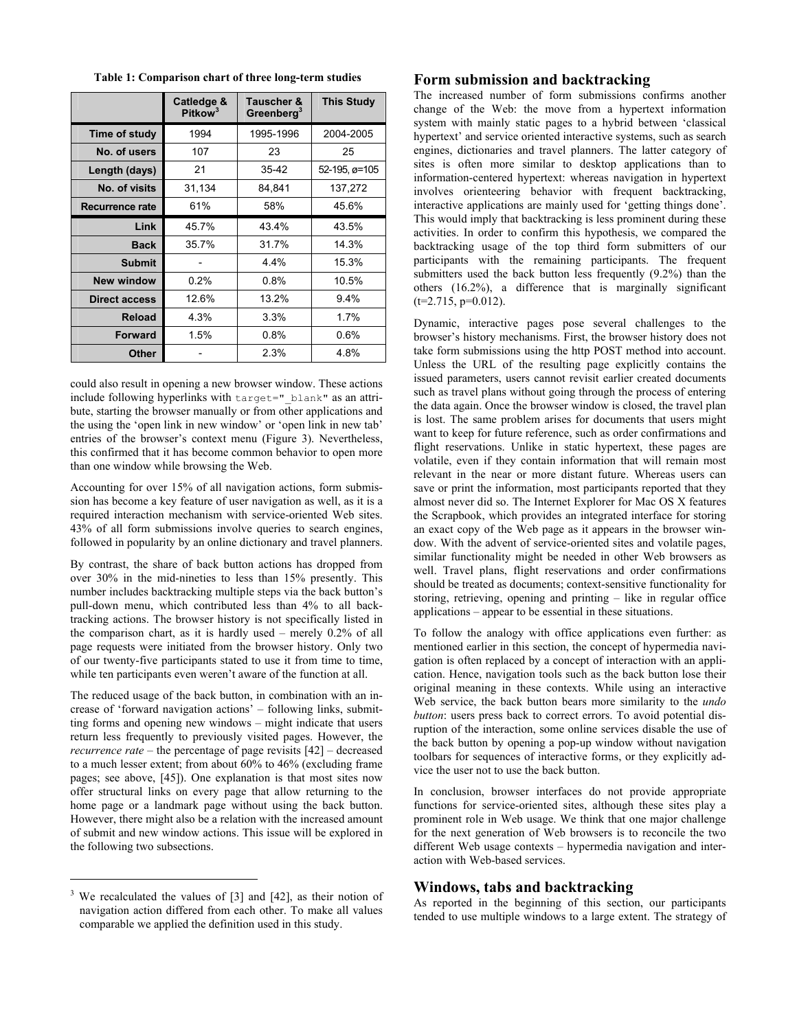|  |  |  | Table 1: Comparison chart of three long-term studies |
|--|--|--|------------------------------------------------------|
|--|--|--|------------------------------------------------------|

|                      | Catledge &<br>Pitkow <sup>3</sup> | Tauscher &<br>Greenberg <sup>3</sup> | <b>This Study</b> |
|----------------------|-----------------------------------|--------------------------------------|-------------------|
| Time of study        | 1994                              | 1995-1996                            | 2004-2005         |
| No. of users         | 107                               | 23                                   | 25                |
| Length (days)        | 21                                | 35-42                                | 52-195, ø=105     |
| No. of visits        | 31,134                            | 84,841                               | 137,272           |
| Recurrence rate      | 61%                               | 58%                                  | 45.6%             |
| Link                 | 45.7%                             | 43.4%                                | 43.5%             |
| <b>Back</b>          | 35.7%                             | 31.7%                                | 14.3%             |
| <b>Submit</b>        |                                   | $4.4\%$                              | 15.3%             |
| <b>New window</b>    | 0.2%                              | 0.8%                                 | 10.5%             |
| <b>Direct access</b> | 12.6%                             | 13.2%                                | 9.4%              |
| Reload               | 4.3%                              | 3.3%                                 | 1.7%              |
| <b>Forward</b>       | 1.5%                              | 0.8%                                 | $0.6\%$           |
| Other                |                                   | 2.3%                                 | 4.8%              |

could also result in opening a new browser window. These actions include following hyperlinks with  $t =$   $t =$   $b$ lank" as an attribute, starting the browser manually or from other applications and the using the 'open link in new window' or 'open link in new tab' entries of the browser's context menu (Figure 3). Nevertheless, this confirmed that it has become common behavior to open more than one window while browsing the Web.

Accounting for over 15% of all navigation actions, form submission has become a key feature of user navigation as well, as it is a required interaction mechanism with service-oriented Web sites. 43% of all form submissions involve queries to search engines, followed in popularity by an online dictionary and travel planners.

By contrast, the share of back button actions has dropped from over 30% in the mid-nineties to less than 15% presently. This number includes backtracking multiple steps via the back button's pull-down menu, which contributed less than 4% to all backtracking actions. The browser history is not specifically listed in the comparison chart, as it is hardly used – merely 0.2% of all page requests were initiated from the browser history. Only two of our twenty-five participants stated to use it from time to time, while ten participants even weren't aware of the function at all.

The reduced usage of the back button, in combination with an increase of 'forward navigation actions' – following links, submitting forms and opening new windows – might indicate that users return less frequently to previously visited pages. However, the *recurrence rate* – the percentage of page revisits [42] – decreased to a much lesser extent; from about 60% to 46% (excluding frame pages; see above, [45]). One explanation is that most sites now offer structural links on every page that allow returning to the home page or a landmark page without using the back button. However, there might also be a relation with the increased amount of submit and new window actions. This issue will be explored in the following two subsections.

 $\overline{\phantom{a}}$ 

## **Form submission and backtracking**

The increased number of form submissions confirms another change of the Web: the move from a hypertext information system with mainly static pages to a hybrid between 'classical hypertext' and service oriented interactive systems, such as search engines, dictionaries and travel planners. The latter category of sites is often more similar to desktop applications than to information-centered hypertext: whereas navigation in hypertext involves orienteering behavior with frequent backtracking, interactive applications are mainly used for 'getting things done'. This would imply that backtracking is less prominent during these activities. In order to confirm this hypothesis, we compared the backtracking usage of the top third form submitters of our participants with the remaining participants. The frequent submitters used the back button less frequently (9.2%) than the others (16.2%), a difference that is marginally significant  $(t=2.715, p=0.012)$ .

Dynamic, interactive pages pose several challenges to the browser's history mechanisms. First, the browser history does not take form submissions using the http POST method into account. Unless the URL of the resulting page explicitly contains the issued parameters, users cannot revisit earlier created documents such as travel plans without going through the process of entering the data again. Once the browser window is closed, the travel plan is lost. The same problem arises for documents that users might want to keep for future reference, such as order confirmations and flight reservations. Unlike in static hypertext, these pages are volatile, even if they contain information that will remain most relevant in the near or more distant future. Whereas users can save or print the information, most participants reported that they almost never did so. The Internet Explorer for Mac OS X features the Scrapbook, which provides an integrated interface for storing an exact copy of the Web page as it appears in the browser window. With the advent of service-oriented sites and volatile pages, similar functionality might be needed in other Web browsers as well. Travel plans, flight reservations and order confirmations should be treated as documents; context-sensitive functionality for storing, retrieving, opening and printing – like in regular office applications – appear to be essential in these situations.

To follow the analogy with office applications even further: as mentioned earlier in this section, the concept of hypermedia navigation is often replaced by a concept of interaction with an application. Hence, navigation tools such as the back button lose their original meaning in these contexts. While using an interactive Web service, the back button bears more similarity to the *undo button*: users press back to correct errors. To avoid potential disruption of the interaction, some online services disable the use of the back button by opening a pop-up window without navigation toolbars for sequences of interactive forms, or they explicitly advice the user not to use the back button.

In conclusion, browser interfaces do not provide appropriate functions for service-oriented sites, although these sites play a prominent role in Web usage. We think that one major challenge for the next generation of Web browsers is to reconcile the two different Web usage contexts – hypermedia navigation and interaction with Web-based services.

# **Windows, tabs and backtracking**

As reported in the beginning of this section, our participants tended to use multiple windows to a large extent. The strategy of

<sup>3</sup> We recalculated the values of [3] and [42], as their notion of navigation action differed from each other. To make all values comparable we applied the definition used in this study.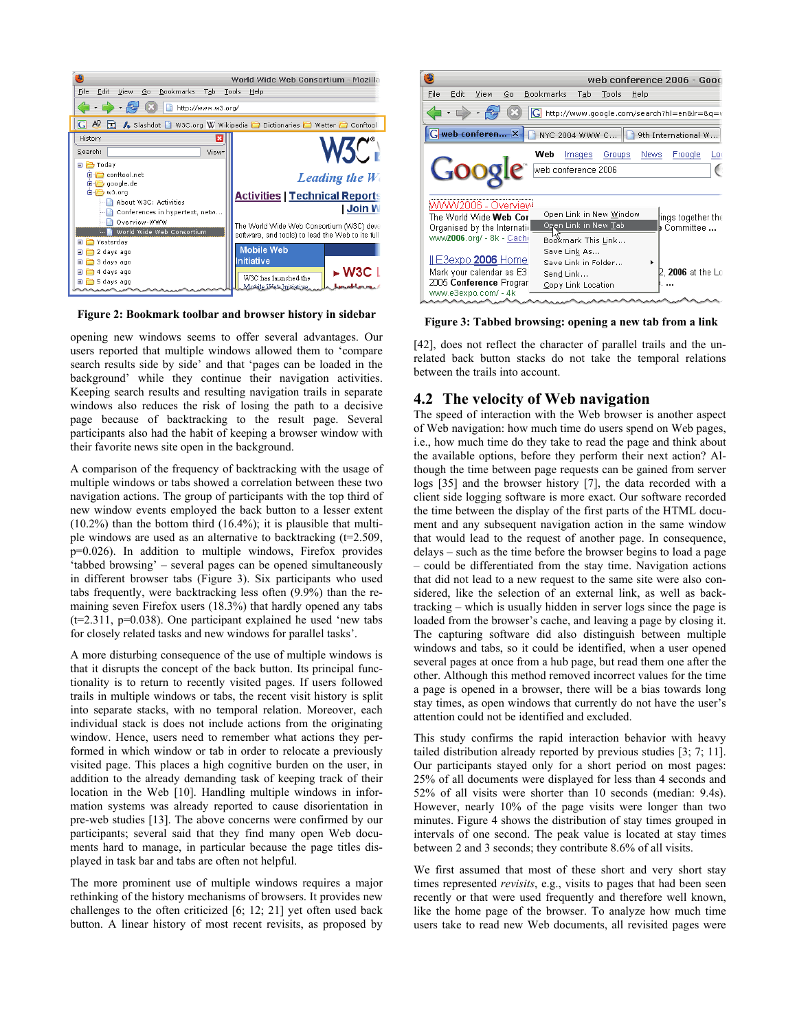

Figure 2: Bookmark toolbar and browser history in sidebar<br>Figure 3: Tabbed browsing: opening a new tab from a link

opening new windows seems to offer several advantages. Our users reported that multiple windows allowed them to 'compare search results side by side' and that 'pages can be loaded in the background' while they continue their navigation activities. Keeping search results and resulting navigation trails in separate windows also reduces the risk of losing the path to a decisive page because of backtracking to the result page. Several participants also had the habit of keeping a browser window with their favorite news site open in the background.

A comparison of the frequency of backtracking with the usage of multiple windows or tabs showed a correlation between these two navigation actions. The group of participants with the top third of new window events employed the back button to a lesser extent  $(10.2\%)$  than the bottom third  $(16.4\%)$ ; it is plausible that multiple windows are used as an alternative to backtracking  $(t=2.509)$ , p=0.026). In addition to multiple windows, Firefox provides 'tabbed browsing' – several pages can be opened simultaneously in different browser tabs (Figure 3). Six participants who used tabs frequently, were backtracking less often (9.9%) than the remaining seven Firefox users (18.3%) that hardly opened any tabs (t=2.311, p=0.038). One participant explained he used 'new tabs for closely related tasks and new windows for parallel tasks'.

A more disturbing consequence of the use of multiple windows is that it disrupts the concept of the back button. Its principal functionality is to return to recently visited pages. If users followed trails in multiple windows or tabs, the recent visit history is split into separate stacks, with no temporal relation. Moreover, each individual stack is does not include actions from the originating window. Hence, users need to remember what actions they performed in which window or tab in order to relocate a previously visited page. This places a high cognitive burden on the user, in addition to the already demanding task of keeping track of their location in the Web [10]. Handling multiple windows in information systems was already reported to cause disorientation in pre-web studies [13]. The above concerns were confirmed by our participants; several said that they find many open Web documents hard to manage, in particular because the page titles displayed in task bar and tabs are often not helpful.

The more prominent use of multiple windows requires a major rethinking of the history mechanisms of browsers. It provides new challenges to the often criticized [6; 12; 21] yet often used back button. A linear history of most recent revisits, as proposed by



[42], does not reflect the character of parallel trails and the unrelated back button stacks do not take the temporal relations between the trails into account.

# **4.2 The velocity of Web navigation**

The speed of interaction with the Web browser is another aspect of Web navigation: how much time do users spend on Web pages, i.e., how much time do they take to read the page and think about the available options, before they perform their next action? Although the time between page requests can be gained from server logs [35] and the browser history [7], the data recorded with a client side logging software is more exact. Our software recorded the time between the display of the first parts of the HTML document and any subsequent navigation action in the same window that would lead to the request of another page. In consequence, delays – such as the time before the browser begins to load a page – could be differentiated from the stay time. Navigation actions that did not lead to a new request to the same site were also considered, like the selection of an external link, as well as backtracking – which is usually hidden in server logs since the page is loaded from the browser's cache, and leaving a page by closing it. The capturing software did also distinguish between multiple windows and tabs, so it could be identified, when a user opened several pages at once from a hub page, but read them one after the other. Although this method removed incorrect values for the time a page is opened in a browser, there will be a bias towards long stay times, as open windows that currently do not have the user's attention could not be identified and excluded.

This study confirms the rapid interaction behavior with heavy tailed distribution already reported by previous studies [3; 7; 11]. Our participants stayed only for a short period on most pages: 25% of all documents were displayed for less than 4 seconds and 52% of all visits were shorter than 10 seconds (median: 9.4s). However, nearly 10% of the page visits were longer than two minutes. Figure 4 shows the distribution of stay times grouped in intervals of one second. The peak value is located at stay times between 2 and 3 seconds; they contribute 8.6% of all visits.

We first assumed that most of these short and very short stay times represented *revisits*, e.g., visits to pages that had been seen recently or that were used frequently and therefore well known, like the home page of the browser. To analyze how much time users take to read new Web documents, all revisited pages were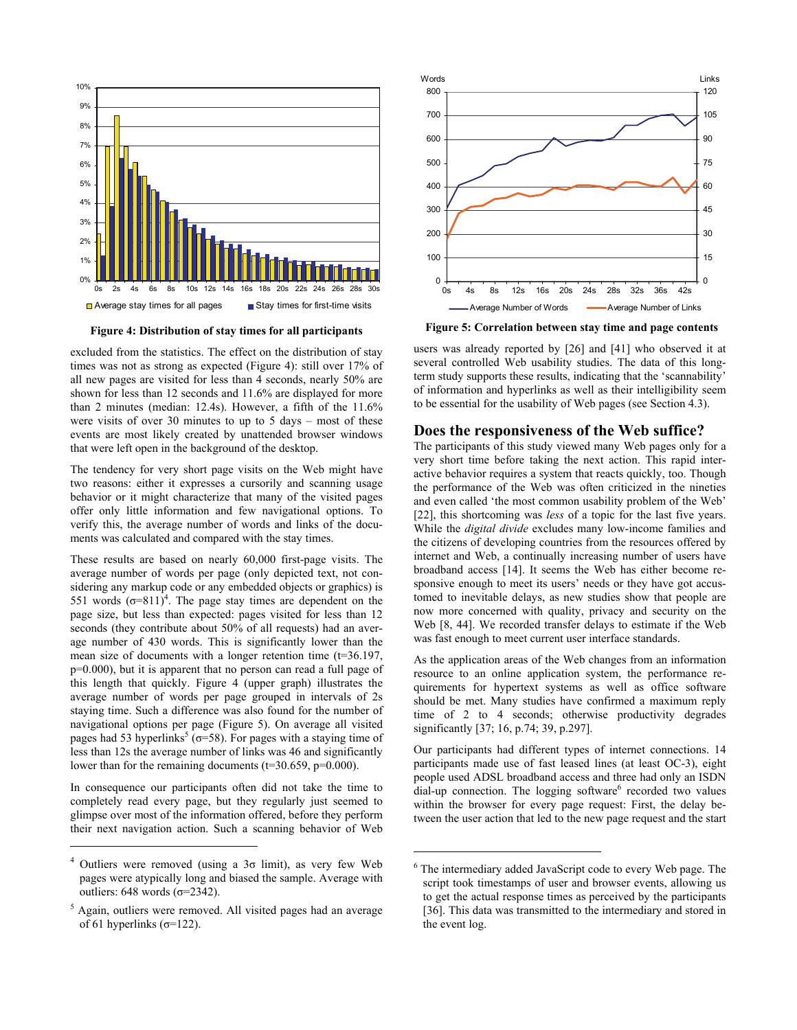

**Figure 4: Distribution of stay times for all participants** 

excluded from the statistics. The effect on the distribution of stay times was not as strong as expected (Figure 4): still over 17% of all new pages are visited for less than 4 seconds, nearly 50% are shown for less than 12 seconds and 11.6% are displayed for more than 2 minutes (median: 12.4s). However, a fifth of the 11.6% were visits of over 30 minutes to up to 5 days – most of these events are most likely created by unattended browser windows that were left open in the background of the desktop.

The tendency for very short page visits on the Web might have two reasons: either it expresses a cursorily and scanning usage behavior or it might characterize that many of the visited pages offer only little information and few navigational options. To verify this, the average number of words and links of the documents was calculated and compared with the stay times.

These results are based on nearly 60,000 first-page visits. The average number of words per page (only depicted text, not considering any markup code or any embedded objects or graphics) is 551 words  $(\sigma=811)^4$ . The page stay times are dependent on the page size, but less than expected: pages visited for less than 12 seconds (they contribute about 50% of all requests) had an average number of 430 words. This is significantly lower than the mean size of documents with a longer retention time  $(t=36.197)$ , p=0.000), but it is apparent that no person can read a full page of this length that quickly. Figure 4 (upper graph) illustrates the average number of words per page grouped in intervals of 2s staying time. Such a difference was also found for the number of navigational options per page (Figure 5). On average all visited pages had 53 hyperlinks<sup>5</sup> ( $\sigma$ =58). For pages with a staying time of less than 12s the average number of links was 46 and significantly lower than for the remaining documents (t=30.659, p=0.000).

In consequence our participants often did not take the time to completely read every page, but they regularly just seemed to glimpse over most of the information offered, before they perform their next navigation action. Such a scanning behavior of Web

 $\overline{\phantom{a}}$ 



**Figure 5: Correlation between stay time and page contents** 

users was already reported by [26] and [41] who observed it at several controlled Web usability studies. The data of this longterm study supports these results, indicating that the 'scannability' of information and hyperlinks as well as their intelligibility seem to be essential for the usability of Web pages (see Section 4.3).

#### **Does the responsiveness of the Web suffice?**

The participants of this study viewed many Web pages only for a very short time before taking the next action. This rapid interactive behavior requires a system that reacts quickly, too. Though the performance of the Web was often criticized in the nineties and even called 'the most common usability problem of the Web' [22], this shortcoming was *less* of a topic for the last five years. While the *digital divide* excludes many low-income families and the citizens of developing countries from the resources offered by internet and Web, a continually increasing number of users have broadband access [14]. It seems the Web has either become responsive enough to meet its users' needs or they have got accustomed to inevitable delays, as new studies show that people are now more concerned with quality, privacy and security on the Web [8, 44]. We recorded transfer delays to estimate if the Web was fast enough to meet current user interface standards.

As the application areas of the Web changes from an information resource to an online application system, the performance requirements for hypertext systems as well as office software should be met. Many studies have confirmed a maximum reply time of 2 to 4 seconds; otherwise productivity degrades significantly [37; 16, p.74; 39, p.297].

Our participants had different types of internet connections. 14 participants made use of fast leased lines (at least OC-3), eight people used ADSL broadband access and three had only an ISDN  $dial-up$  connection. The logging software<sup>6</sup> recorded two values within the browser for every page request: First, the delay between the user action that led to the new page request and the start

1

<sup>4</sup> Outliers were removed (using a 3σ limit), as very few Web pages were atypically long and biased the sample. Average with outliers:  $648$  words ( $\sigma$ =2342).

<sup>5</sup> Again, outliers were removed. All visited pages had an average of 61 hyperlinks ( $\sigma$ =122).

<sup>6</sup> The intermediary added JavaScript code to every Web page. The script took timestamps of user and browser events, allowing us to get the actual response times as perceived by the participants [36]. This data was transmitted to the intermediary and stored in the event log.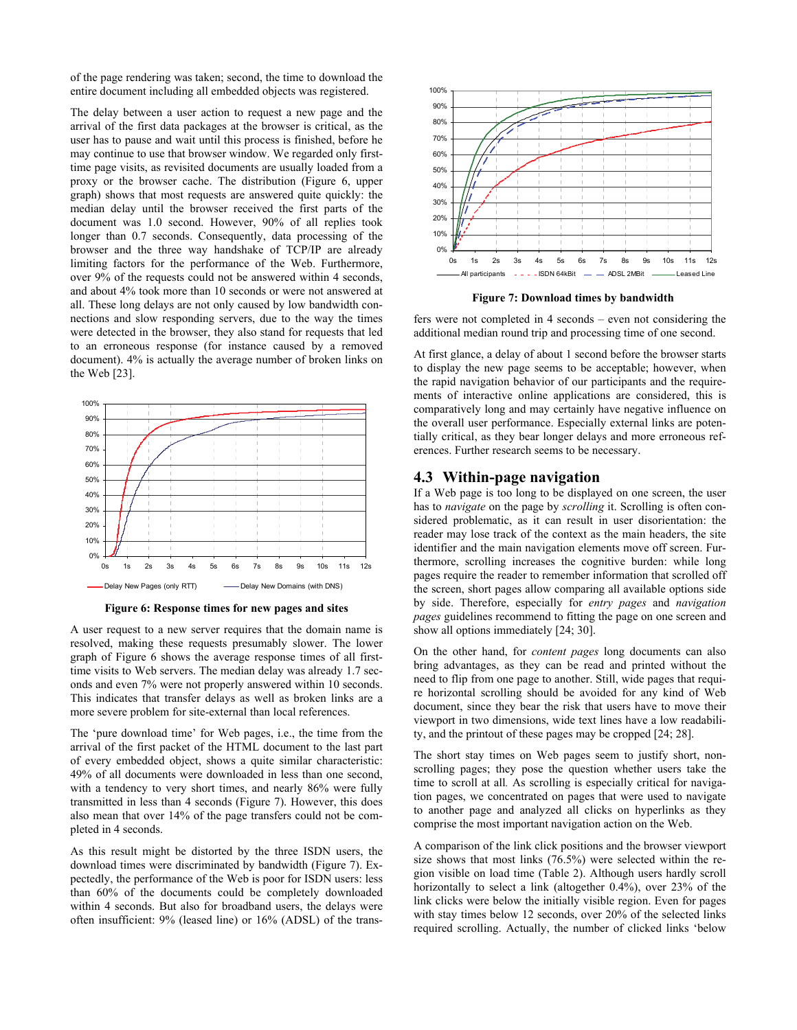of the page rendering was taken; second, the time to download the entire document including all embedded objects was registered.

The delay between a user action to request a new page and the arrival of the first data packages at the browser is critical, as the user has to pause and wait until this process is finished, before he may continue to use that browser window. We regarded only firsttime page visits, as revisited documents are usually loaded from a proxy or the browser cache. The distribution (Figure 6, upper graph) shows that most requests are answered quite quickly: the median delay until the browser received the first parts of the document was 1.0 second. However, 90% of all replies took longer than 0.7 seconds. Consequently, data processing of the browser and the three way handshake of TCP/IP are already limiting factors for the performance of the Web. Furthermore, over 9% of the requests could not be answered within 4 seconds, and about 4% took more than 10 seconds or were not answered at all. These long delays are not only caused by low bandwidth connections and slow responding servers, due to the way the times were detected in the browser, they also stand for requests that led to an erroneous response (for instance caused by a removed document). 4% is actually the average number of broken links on the Web [23].



**Figure 6: Response times for new pages and sites**

A user request to a new server requires that the domain name is resolved, making these requests presumably slower. The lower graph of Figure 6 shows the average response times of all firsttime visits to Web servers. The median delay was already 1.7 seconds and even 7% were not properly answered within 10 seconds. This indicates that transfer delays as well as broken links are a more severe problem for site-external than local references.

The 'pure download time' for Web pages, i.e., the time from the arrival of the first packet of the HTML document to the last part of every embedded object, shows a quite similar characteristic: 49% of all documents were downloaded in less than one second, with a tendency to very short times, and nearly 86% were fully transmitted in less than 4 seconds (Figure 7). However, this does also mean that over 14% of the page transfers could not be completed in 4 seconds.

As this result might be distorted by the three ISDN users, the download times were discriminated by bandwidth (Figure 7). Expectedly, the performance of the Web is poor for ISDN users: less than 60% of the documents could be completely downloaded within 4 seconds. But also for broadband users, the delays were often insufficient: 9% (leased line) or 16% (ADSL) of the trans-



**Figure 7: Download times by bandwidth**

fers were not completed in 4 seconds – even not considering the additional median round trip and processing time of one second.

At first glance, a delay of about 1 second before the browser starts to display the new page seems to be acceptable; however, when the rapid navigation behavior of our participants and the requirements of interactive online applications are considered, this is comparatively long and may certainly have negative influence on the overall user performance. Especially external links are potentially critical, as they bear longer delays and more erroneous references. Further research seems to be necessary.

#### **4.3 Within-page navigation**

If a Web page is too long to be displayed on one screen, the user has to *navigate* on the page by *scrolling* it. Scrolling is often considered problematic, as it can result in user disorientation: the reader may lose track of the context as the main headers, the site identifier and the main navigation elements move off screen. Furthermore, scrolling increases the cognitive burden: while long pages require the reader to remember information that scrolled off the screen, short pages allow comparing all available options side by side. Therefore, especially for *entry pages* and *navigation pages* guidelines recommend to fitting the page on one screen and show all options immediately [24; 30].

On the other hand, for *content pages* long documents can also bring advantages, as they can be read and printed without the need to flip from one page to another. Still, wide pages that require horizontal scrolling should be avoided for any kind of Web document, since they bear the risk that users have to move their viewport in two dimensions, wide text lines have a low readability, and the printout of these pages may be cropped [24; 28].

The short stay times on Web pages seem to justify short, nonscrolling pages; they pose the question whether users take the time to scroll at all*.* As scrolling is especially critical for navigation pages, we concentrated on pages that were used to navigate to another page and analyzed all clicks on hyperlinks as they comprise the most important navigation action on the Web.

A comparison of the link click positions and the browser viewport size shows that most links (76.5%) were selected within the region visible on load time (Table 2). Although users hardly scroll horizontally to select a link (altogether 0.4%), over 23% of the link clicks were below the initially visible region. Even for pages with stay times below 12 seconds, over 20% of the selected links required scrolling. Actually, the number of clicked links 'below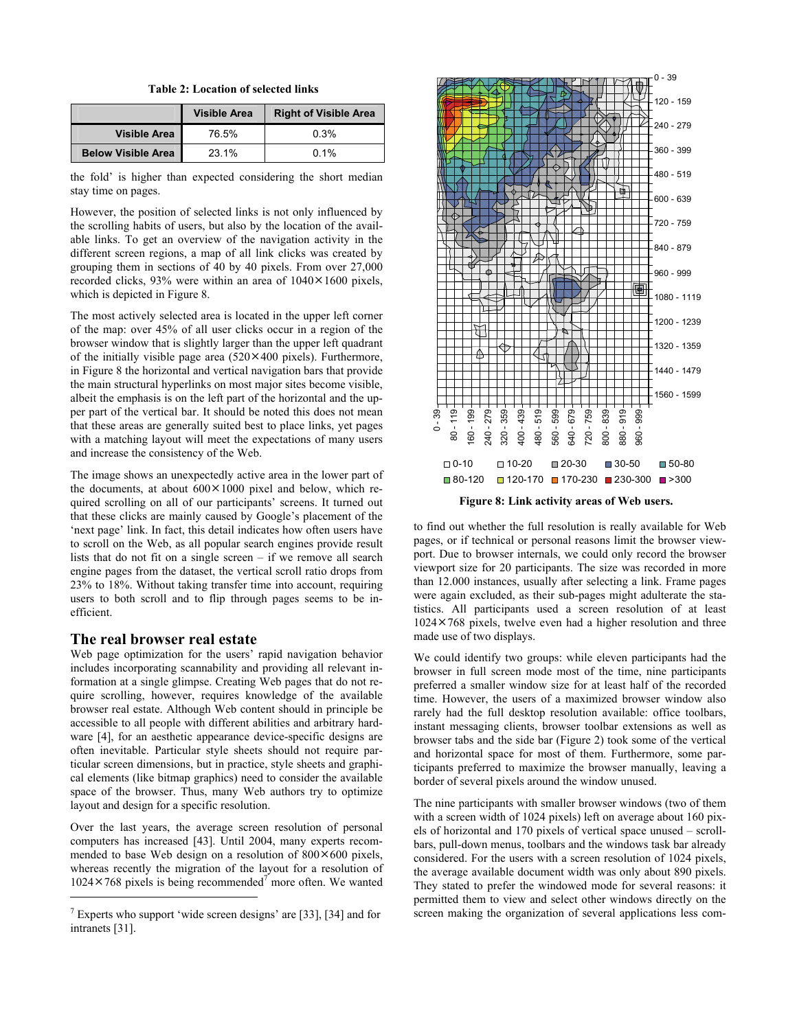| <b>Table 2: Location of selected links</b> |  |  |  |  |  |  |  |
|--------------------------------------------|--|--|--|--|--|--|--|
|--------------------------------------------|--|--|--|--|--|--|--|

|                           | <b>Visible Area</b> | <b>Right of Visible Area</b> |
|---------------------------|---------------------|------------------------------|
| <b>Visible Area</b>       | 76.5%               | 0.3%                         |
| <b>Below Visible Area</b> | 23.1%               | $0.1\%$                      |

the fold' is higher than expected considering the short median stay time on pages.

However, the position of selected links is not only influenced by the scrolling habits of users, but also by the location of the available links. To get an overview of the navigation activity in the different screen regions, a map of all link clicks was created by grouping them in sections of 40 by 40 pixels. From over 27,000 recorded clicks, 93% were within an area of  $1040 \times 1600$  pixels, which is depicted in Figure 8.

The most actively selected area is located in the upper left corner of the map: over 45% of all user clicks occur in a region of the browser window that is slightly larger than the upper left quadrant of the initially visible page area  $(520 \times 400)$  pixels). Furthermore, in Figure 8 the horizontal and vertical navigation bars that provide the main structural hyperlinks on most major sites become visible, albeit the emphasis is on the left part of the horizontal and the upper part of the vertical bar. It should be noted this does not mean that these areas are generally suited best to place links, yet pages with a matching layout will meet the expectations of many users and increase the consistency of the Web.

The image shows an unexpectedly active area in the lower part of the documents, at about  $600 \times 1000$  pixel and below, which required scrolling on all of our participants' screens. It turned out that these clicks are mainly caused by Google's placement of the 'next page' link. In fact, this detail indicates how often users have to scroll on the Web, as all popular search engines provide result lists that do not fit on a single screen – if we remove all search engine pages from the dataset, the vertical scroll ratio drops from 23% to 18%. Without taking transfer time into account, requiring users to both scroll and to flip through pages seems to be inefficient.

#### **The real browser real estate**

 $\overline{a}$ 

Web page optimization for the users' rapid navigation behavior includes incorporating scannability and providing all relevant information at a single glimpse. Creating Web pages that do not require scrolling, however, requires knowledge of the available browser real estate. Although Web content should in principle be accessible to all people with different abilities and arbitrary hardware [4], for an aesthetic appearance device-specific designs are often inevitable. Particular style sheets should not require particular screen dimensions, but in practice, style sheets and graphical elements (like bitmap graphics) need to consider the available space of the browser. Thus, many Web authors try to optimize layout and design for a specific resolution.

Over the last years, the average screen resolution of personal computers has increased [43]. Until 2004, many experts recommended to base Web design on a resolution of  $800 \times 600$  pixels, whereas recently the migration of the layout for a resolution of  $1024 \times 768$  pixels is being recommended<sup>7</sup> more often. We wanted



**Figure 8: Link activity areas of Web users.** 

to find out whether the full resolution is really available for Web pages, or if technical or personal reasons limit the browser viewport. Due to browser internals, we could only record the browser viewport size for 20 participants. The size was recorded in more than 12.000 instances, usually after selecting a link. Frame pages were again excluded, as their sub-pages might adulterate the statistics. All participants used a screen resolution of at least  $1024 \times 768$  pixels, twelve even had a higher resolution and three made use of two displays.

We could identify two groups: while eleven participants had the browser in full screen mode most of the time, nine participants preferred a smaller window size for at least half of the recorded time. However, the users of a maximized browser window also rarely had the full desktop resolution available: office toolbars, instant messaging clients, browser toolbar extensions as well as browser tabs and the side bar (Figure 2) took some of the vertical and horizontal space for most of them. Furthermore, some participants preferred to maximize the browser manually, leaving a border of several pixels around the window unused.

The nine participants with smaller browser windows (two of them with a screen width of 1024 pixels) left on average about 160 pixels of horizontal and 170 pixels of vertical space unused – scrollbars, pull-down menus, toolbars and the windows task bar already considered. For the users with a screen resolution of 1024 pixels, the average available document width was only about 890 pixels. They stated to prefer the windowed mode for several reasons: it permitted them to view and select other windows directly on the screen making the organization of several applications less com-

 $7$  Experts who support 'wide screen designs' are [33], [34] and for intranets [31].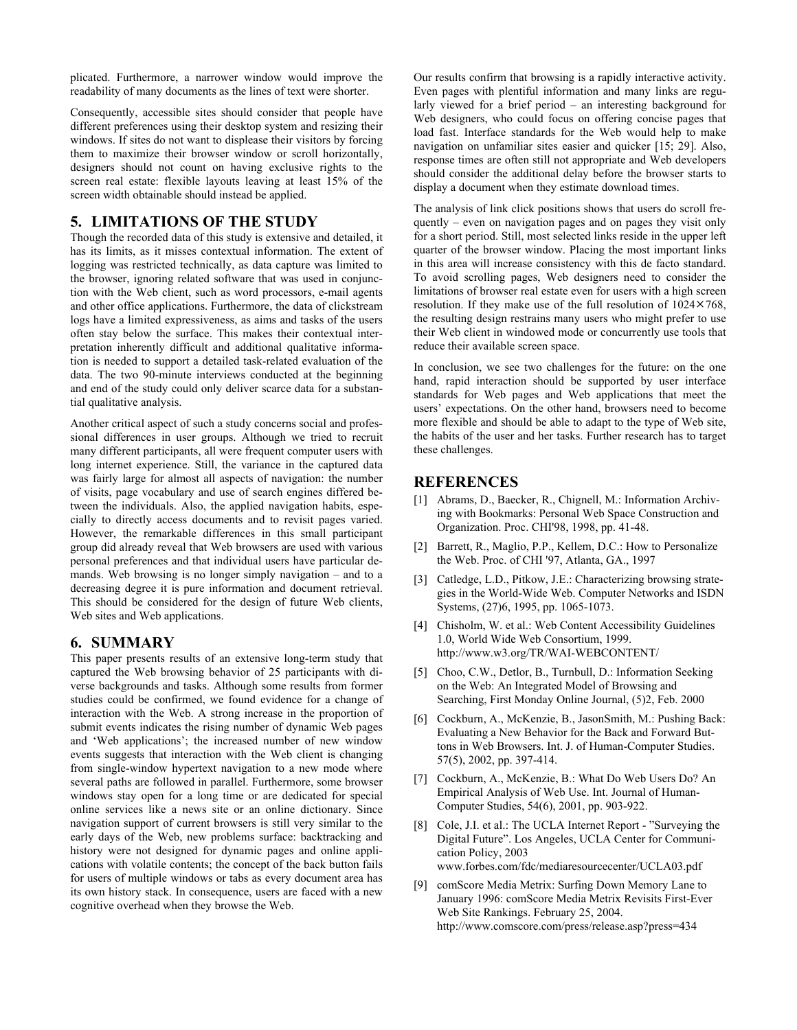plicated. Furthermore, a narrower window would improve the readability of many documents as the lines of text were shorter.

Consequently, accessible sites should consider that people have different preferences using their desktop system and resizing their windows. If sites do not want to displease their visitors by forcing them to maximize their browser window or scroll horizontally, designers should not count on having exclusive rights to the screen real estate: flexible layouts leaving at least 15% of the screen width obtainable should instead be applied.

## **5. LIMITATIONS OF THE STUDY**

Though the recorded data of this study is extensive and detailed, it has its limits, as it misses contextual information. The extent of logging was restricted technically, as data capture was limited to the browser, ignoring related software that was used in conjunction with the Web client, such as word processors, e-mail agents and other office applications. Furthermore, the data of clickstream logs have a limited expressiveness, as aims and tasks of the users often stay below the surface. This makes their contextual interpretation inherently difficult and additional qualitative information is needed to support a detailed task-related evaluation of the data. The two 90-minute interviews conducted at the beginning and end of the study could only deliver scarce data for a substantial qualitative analysis.

Another critical aspect of such a study concerns social and professional differences in user groups. Although we tried to recruit many different participants, all were frequent computer users with long internet experience. Still, the variance in the captured data was fairly large for almost all aspects of navigation: the number of visits, page vocabulary and use of search engines differed between the individuals. Also, the applied navigation habits, especially to directly access documents and to revisit pages varied. However, the remarkable differences in this small participant group did already reveal that Web browsers are used with various personal preferences and that individual users have particular demands. Web browsing is no longer simply navigation – and to a decreasing degree it is pure information and document retrieval. This should be considered for the design of future Web clients, Web sites and Web applications.

## **6. SUMMARY**

This paper presents results of an extensive long-term study that captured the Web browsing behavior of 25 participants with diverse backgrounds and tasks. Although some results from former studies could be confirmed, we found evidence for a change of interaction with the Web. A strong increase in the proportion of submit events indicates the rising number of dynamic Web pages and 'Web applications'; the increased number of new window events suggests that interaction with the Web client is changing from single-window hypertext navigation to a new mode where several paths are followed in parallel. Furthermore, some browser windows stay open for a long time or are dedicated for special online services like a news site or an online dictionary. Since navigation support of current browsers is still very similar to the early days of the Web, new problems surface: backtracking and history were not designed for dynamic pages and online applications with volatile contents; the concept of the back button fails for users of multiple windows or tabs as every document area has its own history stack. In consequence, users are faced with a new cognitive overhead when they browse the Web.

Our results confirm that browsing is a rapidly interactive activity. Even pages with plentiful information and many links are regularly viewed for a brief period – an interesting background for Web designers, who could focus on offering concise pages that load fast. Interface standards for the Web would help to make navigation on unfamiliar sites easier and quicker [15; 29]. Also, response times are often still not appropriate and Web developers should consider the additional delay before the browser starts to display a document when they estimate download times.

The analysis of link click positions shows that users do scroll frequently – even on navigation pages and on pages they visit only for a short period. Still, most selected links reside in the upper left quarter of the browser window. Placing the most important links in this area will increase consistency with this de facto standard. To avoid scrolling pages, Web designers need to consider the limitations of browser real estate even for users with a high screen resolution. If they make use of the full resolution of  $1024 \times 768$ , the resulting design restrains many users who might prefer to use their Web client in windowed mode or concurrently use tools that reduce their available screen space.

In conclusion, we see two challenges for the future: on the one hand, rapid interaction should be supported by user interface standards for Web pages and Web applications that meet the users' expectations. On the other hand, browsers need to become more flexible and should be able to adapt to the type of Web site, the habits of the user and her tasks. Further research has to target these challenges.

# **REFERENCES**

- [1] Abrams, D., Baecker, R., Chignell, M.: Information Archiving with Bookmarks: Personal Web Space Construction and Organization. Proc. CHI'98, 1998, pp. 41-48.
- [2] Barrett, R., Maglio, P.P., Kellem, D.C.: How to Personalize the Web. Proc. of CHI '97, Atlanta, GA., 1997
- [3] Catledge, L.D., Pitkow, J.E.: Characterizing browsing strategies in the World-Wide Web. Computer Networks and ISDN Systems, (27)6, 1995, pp. 1065-1073.
- [4] Chisholm, W. et al.: Web Content Accessibility Guidelines 1.0, World Wide Web Consortium, 1999. http://www.w3.org/TR/WAI-WEBCONTENT/
- [5] Choo, C.W., Detlor, B., Turnbull, D.: Information Seeking on the Web: An Integrated Model of Browsing and Searching, First Monday Online Journal, (5)2, Feb. 2000
- [6] Cockburn, A., McKenzie, B., JasonSmith, M.: Pushing Back: Evaluating a New Behavior for the Back and Forward Buttons in Web Browsers. Int. J. of Human-Computer Studies. 57(5), 2002, pp. 397-414.
- [7] Cockburn, A., McKenzie, B.: What Do Web Users Do? An Empirical Analysis of Web Use. Int. Journal of Human-Computer Studies, 54(6), 2001, pp. 903-922.
- [8] Cole, J.I. et al.: The UCLA Internet Report "Surveying the Digital Future". Los Angeles, UCLA Center for Communication Policy, 2003 www.forbes.com/fdc/mediaresourcecenter/UCLA03.pdf
- [9] comScore Media Metrix: Surfing Down Memory Lane to January 1996: comScore Media Metrix Revisits First-Ever Web Site Rankings. February 25, 2004. http://www.comscore.com/press/release.asp?press=434